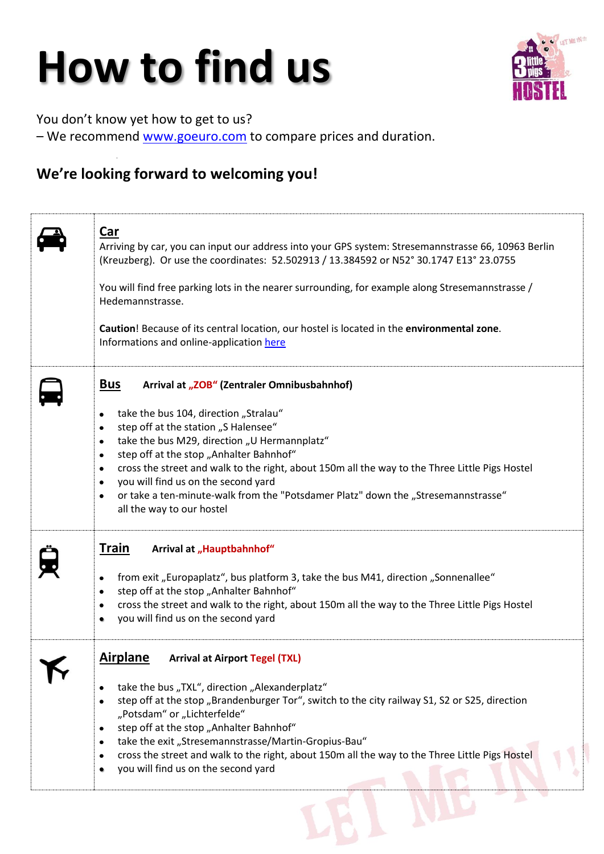## **How to find us**



You don't know yet how to get to us? – We recommend [www.goeuro.com](http://www.goeuro.com/) to compare prices and duration.

## **We're looking forward to welcoming you!**

| <u>Car</u><br>Arriving by car, you can input our address into your GPS system: Stresemannstrasse 66, 10963 Berlin<br>(Kreuzberg). Or use the coordinates: 52.502913 / 13.384592 or N52° 30.1747 E13° 23.0755<br>You will find free parking lots in the nearer surrounding, for example along Stresemannstrasse /<br>Hedemannstrasse.<br>Caution! Because of its central location, our hostel is located in the environmental zone.<br>Informations and online-application here                                                                                                              |
|---------------------------------------------------------------------------------------------------------------------------------------------------------------------------------------------------------------------------------------------------------------------------------------------------------------------------------------------------------------------------------------------------------------------------------------------------------------------------------------------------------------------------------------------------------------------------------------------|
| <u>Bus</u><br>Arrival at "ZOB" (Zentraler Omnibusbahnhof)<br>take the bus 104, direction "Stralau"<br>$\bullet$<br>step off at the station "S Halensee"<br>$\bullet$<br>take the bus M29, direction "U Hermannplatz"<br>$\bullet$<br>step off at the stop "Anhalter Bahnhof"<br>$\bullet$<br>cross the street and walk to the right, about 150m all the way to the Three Little Pigs Hostel<br>$\bullet$<br>you will find us on the second yard<br>$\bullet$<br>or take a ten-minute-walk from the "Potsdamer Platz" down the "Stresemannstrasse"<br>$\bullet$<br>all the way to our hostel |
| <b>Train</b><br>Arrival at "Hauptbahnhof"<br>from exit "Europaplatz", bus platform 3, take the bus M41, direction "Sonnenallee"<br>$\bullet$<br>step off at the stop "Anhalter Bahnhof"<br>$\bullet$<br>cross the street and walk to the right, about 150m all the way to the Three Little Pigs Hostel<br>$\bullet$<br>you will find us on the second yard<br>٠                                                                                                                                                                                                                             |
| <b>Airplane</b><br><b>Arrival at Airport Tegel (TXL)</b><br>take the bus "TXL", direction "Alexanderplatz"<br>step off at the stop "Brandenburger Tor", switch to the city railway S1, S2 or S25, direction<br>"Potsdam" or "Lichterfelde"<br>step off at the stop "Anhalter Bahnhof"<br>take the exit "Stresemannstrasse/Martin-Gropius-Bau"<br>cross the street and walk to the right, about 150m all the way to the Three Little Pigs Hostel<br>you will find us on the second yard                                                                                                      |